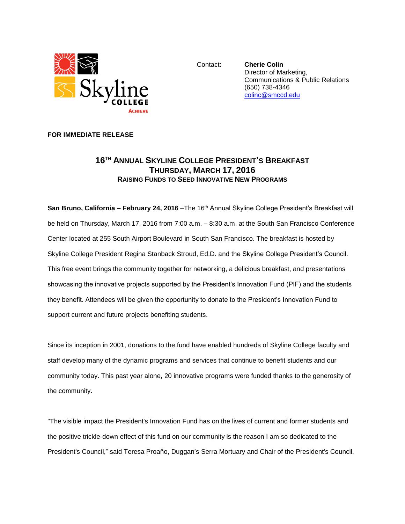

Contact: **Cherie Colin** Director of Marketing, Communications & Public Relations (650) 738-4346 [colinc@smccd.edu](mailto:colinc@smccd.edu)

## **FOR IMMEDIATE RELEASE**

## **16TH ANNUAL SKYLINE COLLEGE PRESIDENT'S BREAKFAST THURSDAY, MARCH 17, 2016 RAISING FUNDS TO SEED INNOVATIVE NEW PROGRAMS**

**San Bruno, California – February 24, 2016** –The 16 th Annual Skyline College President's Breakfast will be held on Thursday, March 17, 2016 from 7:00 a.m. – 8:30 a.m. at the South San Francisco Conference Center located at 255 South Airport Boulevard in South San Francisco. The breakfast is hosted by Skyline College President Regina Stanback Stroud, Ed.D. and the Skyline College President's Council. This free event brings the community together for networking, a delicious breakfast, and presentations showcasing the innovative projects supported by the President's Innovation Fund (PIF) and the students they benefit. Attendees will be given the opportunity to donate to the President's Innovation Fund to support current and future projects benefiting students.

Since its inception in 2001, donations to the fund have enabled hundreds of Skyline College faculty and staff develop many of the dynamic programs and services that continue to benefit students and our community today. This past year alone, 20 innovative programs were funded thanks to the generosity of the community.

"The visible impact the President's Innovation Fund has on the lives of current and former students and the positive trickle-down effect of this fund on our community is the reason I am so dedicated to the President's Council," said Teresa Proaño, Duggan's Serra Mortuary and Chair of the President's Council.